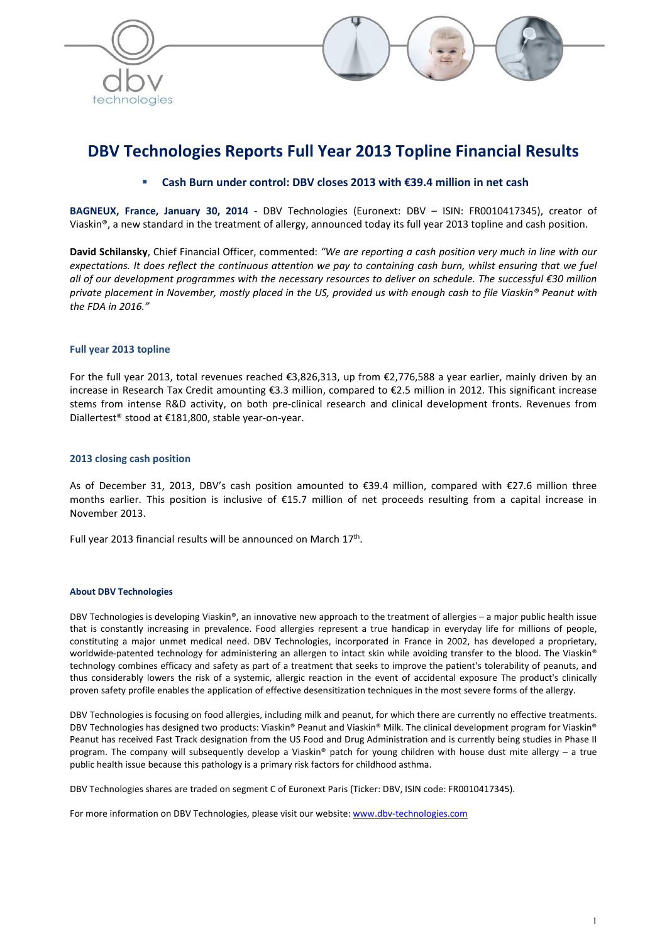



# DBV Technologies Reports Full Year 2013 Topline Financial Results

# Cash Burn under control: DBV closes 2013 with €39.4 million in net cash

BAGNEUX, France, January 30, 2014 - DBV Technologies (Euronext: DBV – ISIN: FR0010417345), creator of Viaskin®, a new standard in the treatment of allergy, announced today its full year 2013 topline and cash position.

David Schilansky, Chief Financial Officer, commented: *"We are reporting a cash position very much in line with our expectations. It does reflect the continuous attention we pay to containing cash burn, whilst ensuring that we fuel all of our development programmes with the necessary resources to deliver on schedule. The successful €30 million private placement in November, mostly placed in the US, provided us with enough cash to file Viaskin® Peanut with the FDA in 2016."*

# Full year 2013 topline

For the full year 2013, total revenues reached €3,826,313, up from €2,776,588 a year earlier, mainly driven by an increase in Research Tax Credit amounting €3.3 million, compared to €2.5 million in 2012. This significant increase stems from intense R&D activity, on both pre-clinical research and clinical development fronts. Revenues from Diallertest® stood at €181,800, stable year-on-year.

## 2013 closing cash position

As of December 31, 2013, DBV's cash position amounted to €39.4 million, compared with €27.6 million three months earlier. This position is inclusive of €15.7 million of net proceeds resulting from a capital increase in November 2013.

Full year 2013 financial results will be announced on March 17<sup>th</sup>.

#### About DBV Technologies

DBV Technologies is developing Viaskin®, an innovative new approach to the treatment of allergies – a major public health issue that is constantly increasing in prevalence. Food allergies represent a true handicap in everyday life for millions of people, constituting a major unmet medical need. DBV Technologies, incorporated in France in 2002, has developed a proprietary, worldwide-patented technology for administering an allergen to intact skin while avoiding transfer to the blood. The Viaskin® technology combines efficacy and safety as part of a treatment that seeks to improve the patient's tolerability of peanuts, and thus considerably lowers the risk of a systemic, allergic reaction in the event of accidental exposure The product's clinically proven safety profile enables the application of effective desensitization techniques in the most severe forms of the allergy.

DBV Technologies is focusing on food allergies, including milk and peanut, for which there are currently no effective treatments. DBV Technologies has designed two products: Viaskin® Peanut and Viaskin® Milk. The clinical development program for Viaskin® Peanut has received Fast Track designation from the US Food and Drug Administration and is currently being studies in Phase II program. The company will subsequently develop a Viaskin® patch for young children with house dust mite allergy – a true public health issue because this pathology is a primary risk factors for childhood asthma.

DBV Technologies shares are traded on segment C of Euronext Paris (Ticker: DBV, ISIN code: FR0010417345).

For more information on DBV Technologies, please visit our website: www.dbv-technologies.com